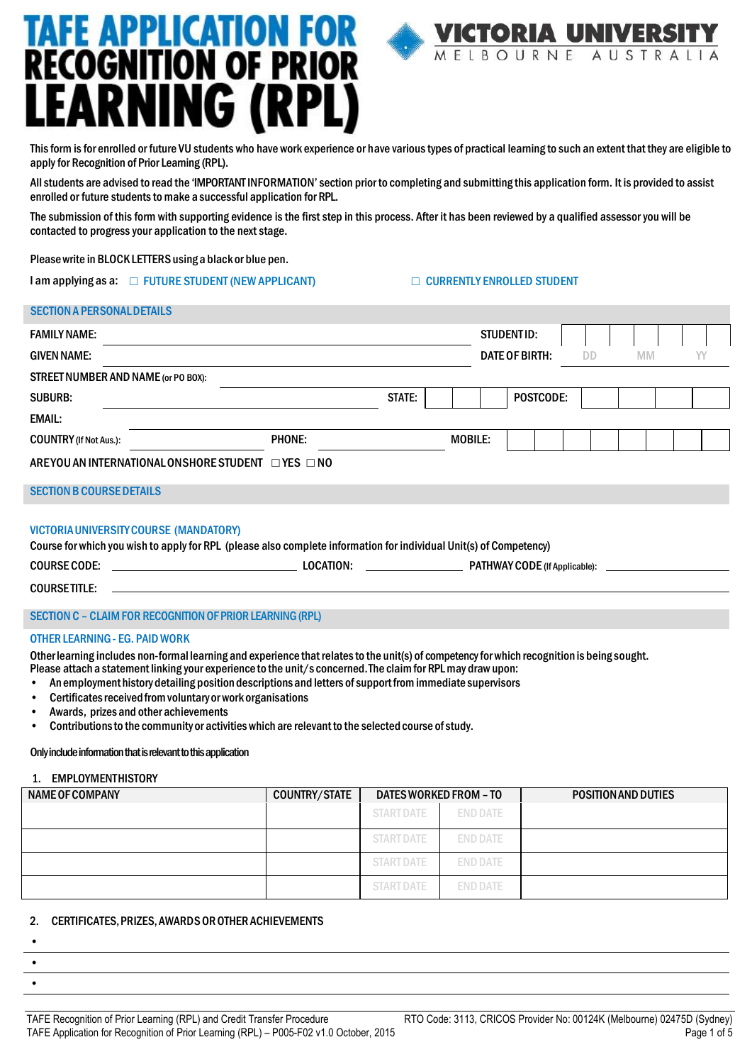# **TAFE APPLICATION FOR<br>RECOGNITION OF PRIOR EARNING (RPL)**

This form is for enrolled or future VU students who have work experience or have various types of practical learning to such an extent that they are eligible to apply for Recognition of Prior Learning (RPL).

Allstudents are advised to read the 'IMPORTANT INFORMATION'section prior to completing and submitting this application form. It is provided to assist enrolled or future students to make a successful application for RPL.

The submission of this form with supporting evidence is the first step in this process. After it has been reviewed by a qualified assessor you will be contacted to progress your application to the next stage.

Pleasewrite in BLOCKLETTERSusing a black or blue pen.

I am applying as a: ☐ FUTURE STUDENT(NEWAPPLICANT) ☐ CURRENTLY ENROLLED STUDENT

**VICTORIA UNIVERS** 

MELBOURNE AUSTRALIA

## SECTION A PERSONAL DETAILS

| <b>FAMILY NAME:</b>                                                                                                                                                 |                      |                | STUDENTID:     |                                      |           |           |    |  |
|---------------------------------------------------------------------------------------------------------------------------------------------------------------------|----------------------|----------------|----------------|--------------------------------------|-----------|-----------|----|--|
| <b>GIVEN NAME:</b>                                                                                                                                                  |                      |                | DATE OF BIRTH: |                                      | <b>DD</b> | <b>MM</b> | YY |  |
| STREET NUMBER AND NAME (or PO BOX):                                                                                                                                 |                      |                |                |                                      |           |           |    |  |
| <b>SUBURB:</b>                                                                                                                                                      | STATE:               |                |                | <b>POSTCODE:</b>                     |           |           |    |  |
| <b>EMAIL:</b>                                                                                                                                                       |                      |                |                |                                      |           |           |    |  |
| <b>COUNTRY</b> (If Not Aus.):                                                                                                                                       | <b>PHONE:</b>        | <b>MOBILE:</b> |                |                                      |           |           |    |  |
| AREYOU AN INTERNATIONAL ON SHORE STUDENT                                                                                                                            | $\Box$ YES $\Box$ NO |                |                |                                      |           |           |    |  |
| <b>SECTION B COURSE DETAILS</b>                                                                                                                                     |                      |                |                |                                      |           |           |    |  |
| <b>VICTORIA UNIVERSITY COURSE (MANDATORY)</b><br>Course for which you wish to apply for RPL (please also complete information for individual Unit(s) of Competency) |                      |                |                |                                      |           |           |    |  |
| <b>COURSE CODE:</b>                                                                                                                                                 | <b>LOCATION:</b>     |                |                | <b>PATHWAY CODE</b> (If Applicable): |           |           |    |  |
| <b>COURSETITLE:</b>                                                                                                                                                 |                      |                |                |                                      |           |           |    |  |
|                                                                                                                                                                     |                      |                |                |                                      |           |           |    |  |

# SECTION C – CLAIMFOR RECOGNITION OF PRIOR LEARNING (RPL)

## OTHER LEARNING - EG. PAID WORK

Otherlearning includes non-formal learning and experience that relatesto the unit(s) of competencyfor which recognition is being sought.

- Please attach a statement linking your experience to the unit/s concerned. The claim for RPL may draw upon:
- An employment history detailing position descriptions and letters of support from immediate supervisors
- Certificates received from voluntary or work organisations
- Awards, prizes and other achievements
- Contributionsto the community or activitieswhich are relevant to the selected course ofstudy.

# Only include information that is relevant to this application

# 1. EMPLOYMENTHISTORY

| NAME OF COMPANY | <b>COUNTRY/STATE</b> | DATES WORKED FROM - TO |                 | <b>POSITION AND DUTIES</b> |
|-----------------|----------------------|------------------------|-----------------|----------------------------|
|                 |                      | <b>START DATE</b>      | <b>END DATE</b> |                            |
|                 |                      | <b>START DATE</b>      | <b>END DATE</b> |                            |
|                 |                      | <b>START DATE</b>      | <b>END DATE</b> |                            |
|                 |                      | <b>START DATE</b>      | <b>END DATE</b> |                            |

# 2. CERTIFICATES,PRIZES,AWARDSOROTHER ACHIEVEMENTS

• • •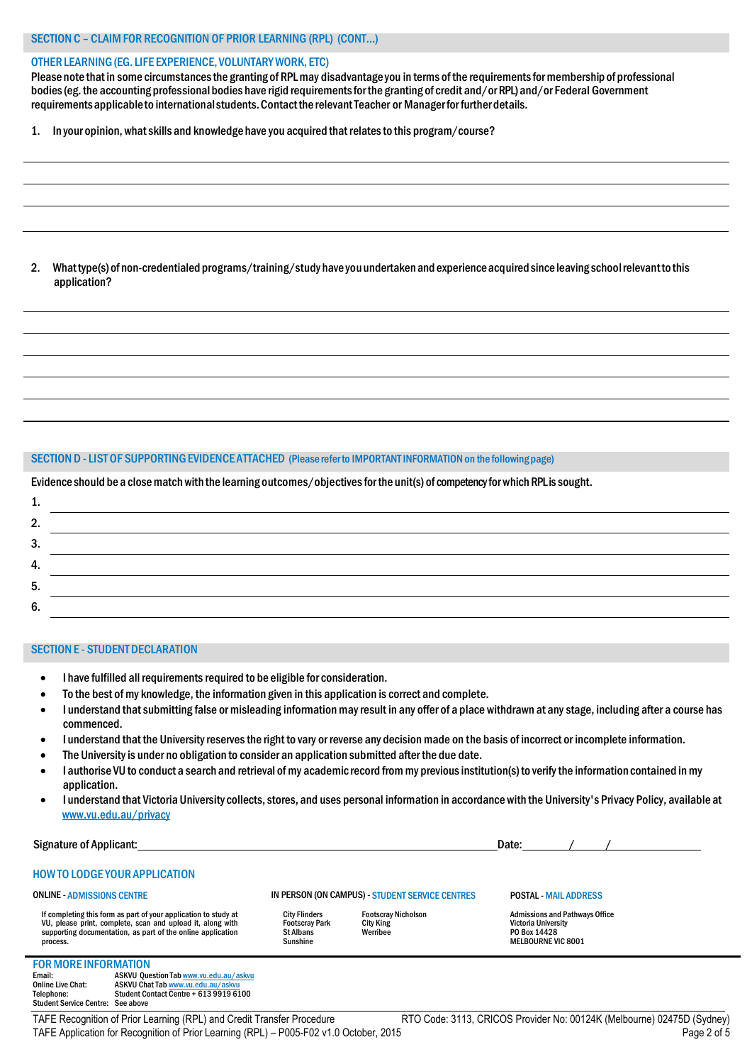### OTHERLEARNING(EG. LIFE EXPERIENCE,VOLUNTARYWORK, ETC)

Please note that in some circumstances the granting of RPL may disadvantage you in terms of the requirements for membership of professional bodies (eg. the accounting professional bodies have rigid requirements for the granting of credit and/or RPL) and/or Federal Government requirements applicable to international students. Contact the relevant Teacher or Manager for further details.

1. In your opinion, whatskills and knowledge have you acquired that relatesto this program/course?

2. Whattype(s) of non-credentialed programs/training/study have youundertakenand experienceacquiredsince leaving schoolrelevantto this application?

#### SECTION D - LIST OF SUPPORTING EVIDENCE ATTACHED (Please refer to IMPORTANT INFORMATION on the following page)

Evidence should be a close match with the learning outcomes/objectives for the unit(s) of competency for which RPL is sought.

| .             |  |
|---------------|--|
| າ<br><u>.</u> |  |
| 3.            |  |
| 4.            |  |
| 5.            |  |
| 6.            |  |

## SECTION E - STUDENT DECLARATION

- I have fulfilled all requirements required to be eligible for consideration.
- To the best ofmy knowledge, the information given in this application is correct and complete.
- I understand that submitting false or misleading information may result in any offer of a place withdrawn at any stage, including after a course has commenced.
- I understand that the University reserves the right to vary or reverse any decision made on the basis of incorrect or incomplete information.
- The Universityis under no obligation to consider an application submitted after the due date.
- I authorise VU to conduct a search and retrieval of my academic record from my previous institution(s) to verify the information contained in my application.
- I understand that Victoria University collects, stores, and uses personal information in accordance with the University's Privacy Policy, available at [www.vu.edu.au/privacy](http://www.vu.edu.au/privacy)

Signature of Applicant: Date: / /

## HOWTO LODGE YOUR APPLICATION

#### ONLINE - ADMISSIONS CENTRE

Footscray Park City King St Albans Werribee Sunshine

City Flinders Footscray Nicholson<br>Footscray Park City King<br>St Albans Werribee

IN PERSON (ON CAMPUS) - STUDENT SERVICE CENTRES

POSTAL - MAIL ADDRESS

# **FOR MORE INFORMATION**<br>Email: ASKVU Oue

process.

Email: ASKVU Question Tab [www.vu.edu.au/askvu](http://www.vu.edu.au/askvu)<br>Online Live Chat: ASKVU Chat Tab www.vu.edu.au/askvu Online Live Chat: ASKVU Chat Ta[b www.vu.edu.au/askvu](http://www.vu.edu.au/askvu) Telephone: Student Contact Centre + 613 9919 6100 Student Service Centre: See above

If completing this form as part of your application to study at VU, please print, complete, scan and upload it, along with supporting documentation, as part of the online application

TAFE Recognition of Prior Learning (RPL) and Credit Transfer Procedure RTO Code: 3113, CRICOS Provider No: 00124K (Melbourne) 02475D (Sydney) TAFE Application for Recognition of Prior Learning (RPL) – P005-F02 v1.0 October, 2015 Page 2 of 5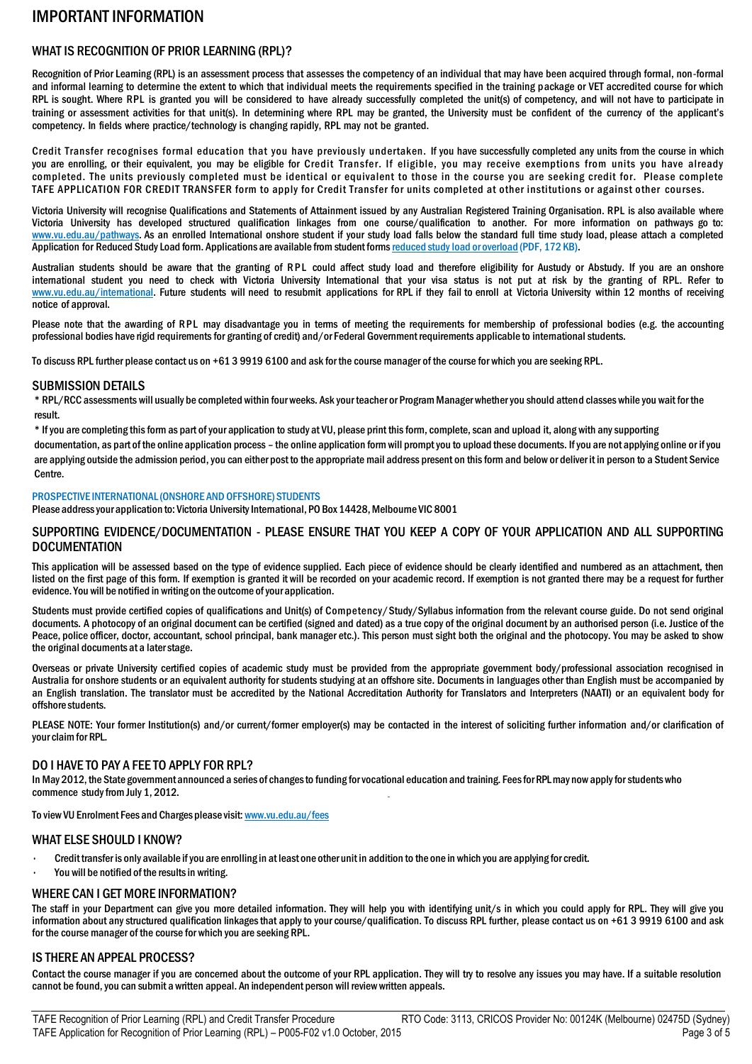# IMPORTANT INFORMATION

# WHAT IS RECOGNITION OF PRIOR LEARNING (RPL)?

Recognition of Prior Learning (RPL) is an assessment process that assesses the competency of an individual that may have been acquired through formal, non-formal and informal learning to determine the extent to which that individual meets the requirements specified in the training package or VET accredited course for which RPL is sought. Where RPL is granted you will be considered to have already successfully completed the unit(s) of competency, and will not have to participate in training or assessment activities for that unit(s). In determining where RPL may be granted, the University must be confident of the currency of the applicant's competency. In fields where practice/technology is changing rapidly, RPL may not be granted.

Credit Transfer recognises formal education that you have previously undertaken. If you have successfully completed any units from the course in which you are enrolling, or their equivalent, you may be eligible for Credit Transfer. If eligible, you may receive exemptions from units you have already completed. The units previously completed must be identical or equivalent to those in the course you are seeking credit for. Please complete TAFE APPLICATION FOR CREDIT TRANSFER form to apply for Credit Transfer for units completed at other institutions or against other courses.

Victoria University will recognise Qualifications and Statements of Attainment issued by any Australian Registered Training Organisation. RPL is also available where Victoria University has developed structured qualification linkages from one course/qualification to another. For more information on pathways go to: www.vu.edu.au/pathways. As an enrolled International onshore student if your study load falls below the standard full time study load, please attach a completed Application for Reduced Study Load form. Applications are available from student forms reduced study load or overload (PDF, 172 KB).

Australian students should be aware that the granting of RPL could affect study load and therefore eligibility for Austudy or Abstudy. If you are an onshore international student you need to check with Victoria University International that your visa status is not put at risk by the granting of RPL. Refer to www.vu.edu.au/international. Future students will need to resubmit applications for RPL if they fail to enroll at Victoria University within 12 months of receiving notice of approval.

Please note that the awarding of RPL may disadvantage you in terms of meeting the requirements for membership of professional bodies (e.g. the accounting professional bodies have rigid requirements for granting of credit) and/or Federal Government requirements applicable to international students.

To discuss RPL further please contact us on +61 3 9919 6100 and ask for the course manager of the course for which you are seeking RPL.

# SUBMISSION DETAILS

\* RPL/RCC assessments will usually be completed within four weeks. Ask your teacher or Program Manager whetheryou should attend classes while you wait for the result.

\* Ifyou are completing thisformas part ofyour application to study at VU, please print thisform, complete,scan and upload it, along with anysupporting

documentation, as part of the online application process – the online application formwill promptyou to upload these documents. Ifyou are not applying online or ifyou are applying outside the admission period,you can either post to the appropriatemail address present on thisformand below or deliver it in person to a Student Service Centre.

## PROSPECTIVE INTERNATIONAL (ONSHORE AND OFFSHORE) STUDENTS

Please address your application to: Victoria University International, PO Box 14428, Melbourne VIC 8001

## SUPPORTING EVIDENCE/DOCUMENTATION - PLEASE ENSURE THAT YOU KEEP A COPY OF YOUR APPLICATION AND ALL SUPPORTING **DOCUMENTATION**

This application will be assessed based on the type of evidence supplied. Each piece of evidence should be clearly identified and numbered as an attachment, then listed on the first page of this form. If exemption is granted it will be recorded on your academic record. If exemption is not granted there may be a request for further evidence. You will be notified in writing on the outcome ofyour application.

Students must provide certified copies of qualifications and Unit(s) of Competency/Study/Syllabus information from the relevant course guide. Do not send original documents. A photocopy of an original document can be certified (signed and dated) as a true copy of the original document by an authorised person (i.e. Justice of the Peace, police officer, doctor, accountant, school principal, bank manager etc.). This person must sight both the original and the photocopy. You may be asked to show the original documents at a laterstage.

Overseas or private University certified copies of academic study must be provided from the appropriate government body/professional association recognised in Australia for onshore students or an equivalent authority for students studying at an offshore site. Documentsin languages other than English must be accompanied by an English translation. The translator must be accredited by the National Accreditation Authority for Translators and Interpreters (NAATI) or an equivalent body for offshore students.

PLEASE NOTE: Your former Institution(s) and/or current/former employer(s) may be contacted in the interest of soliciting further information and/or clarification of your claim for RPL.

# DO I HAVE TO PAY A FEE TO APPLY FOR RPL?

In May 2012, the State government announced a series of changesto funding forvocational education and training. Feesfor RPLmay now applyfor students who commence study from July 1, 2012.

To view VU Enrolment Fees and Charges please visit: [www.vu.edu.au/fees](http://www.vu.edu.au/fees)

## WHAT ELSE SHOULD I KNOW?

- Credit transfer is only available ifyou are enrolling in at least one other unit in addition to the one in which you are applying for credit.
- You will be notified of the results in writing.

# WHERE CAN I GET MORE INFORMATION?

The staff in your Department can give you more detailed information. They will help you with identifying unit/s in which you could apply for RPL. They will give you information about any structured qualification linkages that apply to your course/qualification. To discuss RPL further, please contact us on +61 3 9919 6100 and ask for the course manager of the course for which you are seeking RPL.

# IS THERE AN APPEAL PROCESS?

Contact the course manager if you are concerned about the outcome of your RPL application. They will try to resolve any issues you may have. If a suitable resolution cannot be found, you can submit a written appeal. An independent person will review written appeals.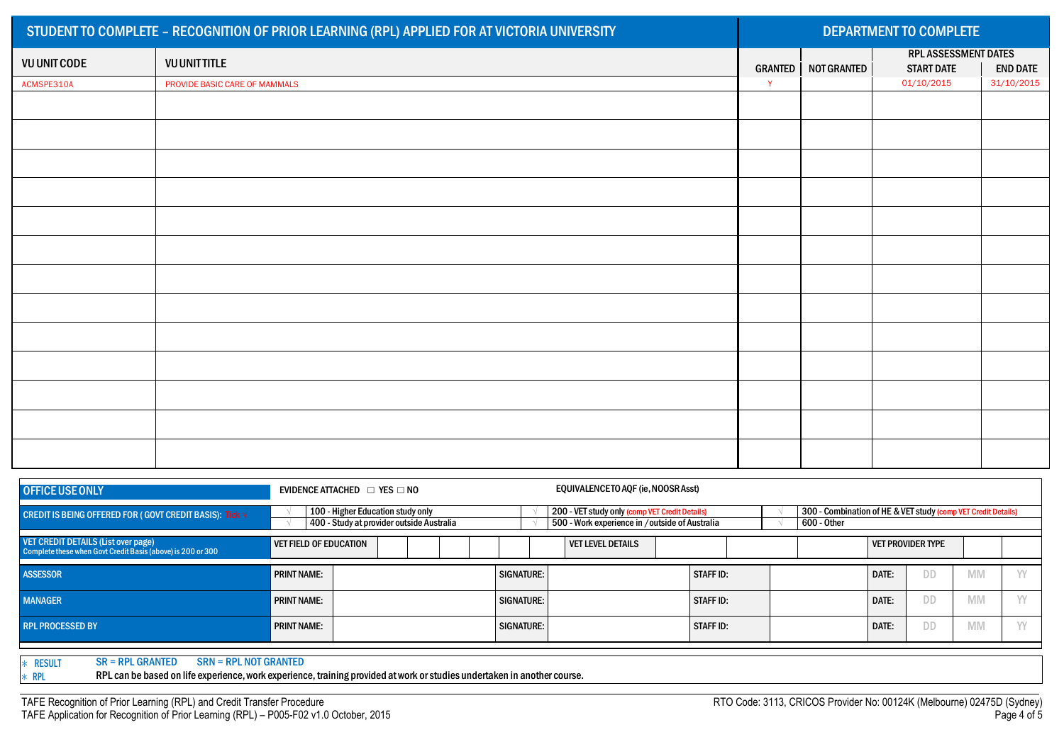|                     | STUDENT TO COMPLETE - RECOGNITION OF PRIOR LEARNING (RPL) APPLIED FOR AT VICTORIA UNIVERSITY | <b>DEPARTMENT TO COMPLETE</b> |             |                                           |                 |  |  |  |
|---------------------|----------------------------------------------------------------------------------------------|-------------------------------|-------------|-------------------------------------------|-----------------|--|--|--|
| <b>VU UNIT CODE</b> | <b>VU UNIT TITLE</b>                                                                         | <b>GRANTED</b>                | NOT GRANTED | RPL ASSESSMENT DATES<br><b>START DATE</b> | <b>END DATE</b> |  |  |  |
| ACMSPE310A          | PROVIDE BASIC CARE OF MAMMALS                                                                | $\mathsf{Y}$                  |             | 01/10/2015                                | 31/10/2015      |  |  |  |
|                     |                                                                                              |                               |             |                                           |                 |  |  |  |
|                     |                                                                                              |                               |             |                                           |                 |  |  |  |
|                     |                                                                                              |                               |             |                                           |                 |  |  |  |
|                     |                                                                                              |                               |             |                                           |                 |  |  |  |
|                     |                                                                                              |                               |             |                                           |                 |  |  |  |
|                     |                                                                                              |                               |             |                                           |                 |  |  |  |
|                     |                                                                                              |                               |             |                                           |                 |  |  |  |
|                     |                                                                                              |                               |             |                                           |                 |  |  |  |
|                     |                                                                                              |                               |             |                                           |                 |  |  |  |
|                     |                                                                                              |                               |             |                                           |                 |  |  |  |
|                     |                                                                                              |                               |             |                                           |                 |  |  |  |
|                     |                                                                                              |                               |             |                                           |                 |  |  |  |
|                     |                                                                                              |                               |             |                                           |                 |  |  |  |

| <b>OFFICE USE ONLY</b>                                                                                                                                                                             | EQUIVALENCETO AOF (ie, NOOSR Asst)<br>EVIDENCE ATTACHED $\Box$ YES $\Box$ NO |                                                                                |                                                                                                  |  |                  |                                                                              |  |       |    |           |  |
|----------------------------------------------------------------------------------------------------------------------------------------------------------------------------------------------------|------------------------------------------------------------------------------|--------------------------------------------------------------------------------|--------------------------------------------------------------------------------------------------|--|------------------|------------------------------------------------------------------------------|--|-------|----|-----------|--|
| <b>CREDIT IS BEING OFFERED FOR ( GOVT CREDIT BASIS): Tick <math>\sqrt{}</math></b>                                                                                                                 |                                                                              | 100 - Higher Education study only<br>400 - Study at provider outside Australia | 200 - VET study only (comp VET Credit Details)<br>500 - Work experience in /outside of Australia |  |                  | 300 - Combination of HE & VET study (comp VET Credit Details)<br>600 - Other |  |       |    |           |  |
| <b>VET CREDIT DETAILS (List over page)</b><br><b>VET FIELD OF EDUCATION</b><br><b>VET PROVIDER TYPE</b><br><b>VET LEVEL DETAILS</b><br>Complete these when Govt Credit Basis (above) is 200 or 300 |                                                                              |                                                                                |                                                                                                  |  |                  |                                                                              |  |       |    |           |  |
| <b>ASSESSOR</b>                                                                                                                                                                                    | <b>PRINT NAME:</b>                                                           |                                                                                | <b>SIGNATURE:</b>                                                                                |  | <b>STAFF ID:</b> |                                                                              |  | DATE: | DD | <b>MM</b> |  |
| <b>MANAGER</b>                                                                                                                                                                                     | <b>PRINT NAME:</b>                                                           |                                                                                | <b>SIGNATURE:</b>                                                                                |  | <b>STAFF ID:</b> |                                                                              |  | DATE: | DD | <b>MM</b> |  |
| <b>RPL PROCESSED BY</b>                                                                                                                                                                            | <b>PRINT NAME:</b>                                                           |                                                                                | <b>SIGNATURE:</b>                                                                                |  | <b>STAFF ID:</b> |                                                                              |  | DATE: | DD | <b>MM</b> |  |
| $SR = RPL$ GRANTED<br><b>RESULT</b><br><b>SRN = RPL NOT GRANTED</b>                                                                                                                                |                                                                              |                                                                                |                                                                                                  |  |                  |                                                                              |  |       |    |           |  |

∗ RPL RPL can be based on life experience,work experience, training provided at work orstudies undertaken in another course.